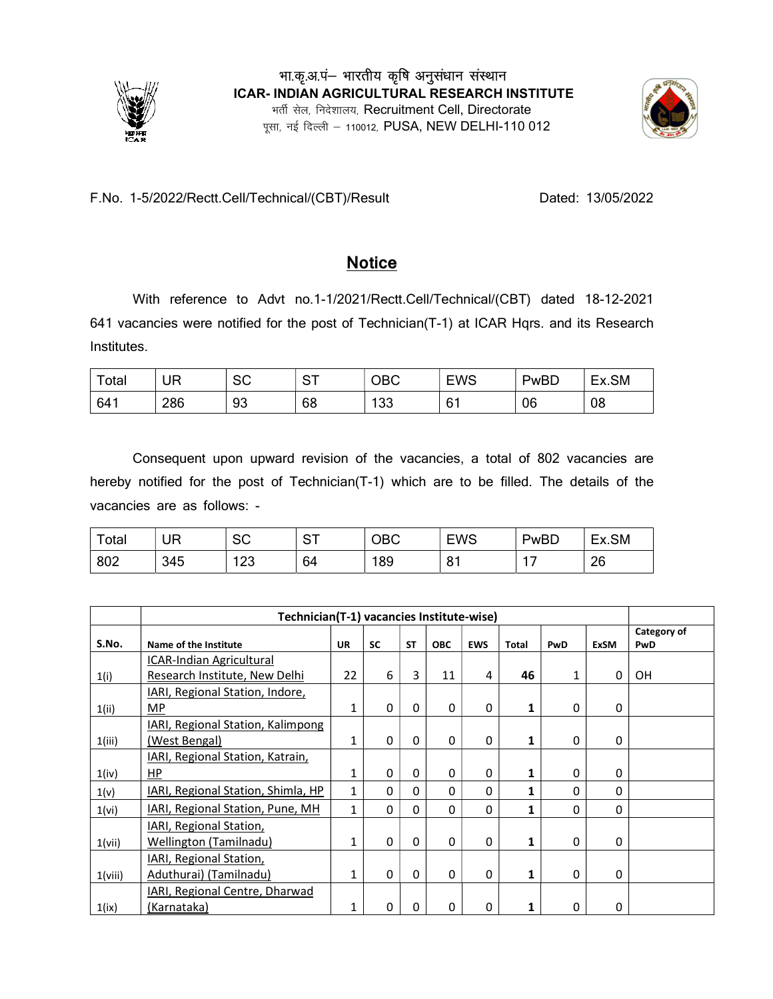



## F.No. 1-5/2022/Rectt.Cell/Technical/(CBT)/Result Dated: 13/05/2022

## **Notice**

With reference to Advt no.1-1/2021/Rectt.Cell/Technical/(CBT) dated 18-12-2021 641 vacancies were notified for the post of Technician(T-1) at ICAR Hqrs. and its Research Institutes.

| Total | <b>UR</b> | $\sim$<br>ು | <b>ST</b> | OBC | <b>EWS</b>     | PwBD | Ex.SM |
|-------|-----------|-------------|-----------|-----|----------------|------|-------|
| 641   | 286       | 93          | 68        | 100 | 6 <sup>1</sup> | 06   | 08    |

Consequent upon upward revision of the vacancies, a total of 802 vacancies are hereby notified for the post of Technician(T-1) which are to be filled. The details of the vacancies are as follows: -

| Total | UR  | $\sim$<br>◡ | $C$ $C$ $T$<br>$\circ$ | OBC | <b>EWS</b> | PwBD | Ex.SM |
|-------|-----|-------------|------------------------|-----|------------|------|-------|
| 802   | 345 | 100<br>د∠ا  | 64                     | 189 | o.<br>ັບ   |      | 26    |

|         | Technician(T-1) vacancies Institute-wise) |           |           |           |              |            |       |     |             |                    |  |  |  |
|---------|-------------------------------------------|-----------|-----------|-----------|--------------|------------|-------|-----|-------------|--------------------|--|--|--|
| S.No.   | Name of the Institute                     | <b>UR</b> | <b>SC</b> | <b>ST</b> | <b>OBC</b>   | <b>EWS</b> | Total | PwD | <b>ExSM</b> | Category of<br>PwD |  |  |  |
|         | ICAR-Indian Agricultural                  |           |           |           |              |            |       |     |             |                    |  |  |  |
| 1(i)    | Research Institute, New Delhi             | 22        | 6         | 3         | 11           | 4          | 46    |     | 0           | OH                 |  |  |  |
|         | IARI, Regional Station, Indore,           |           |           |           |              |            |       |     |             |                    |  |  |  |
| 1(ii)   | <b>MP</b>                                 | 1         | 0         | 0         | 0            | 0          |       | 0   | $\Omega$    |                    |  |  |  |
|         | IARI, Regional Station, Kalimpong         |           |           |           |              |            |       |     |             |                    |  |  |  |
| 1(iii)  | (West Bengal)                             | 1         | 0         | 0         | 0            | 0          |       | 0   | 0           |                    |  |  |  |
|         | IARI, Regional Station, Katrain,          |           |           |           |              |            |       |     |             |                    |  |  |  |
| 1(iv)   | HP                                        |           | 0         | 0         | 0            | 0          |       | 0   | 0           |                    |  |  |  |
| 1(v)    | IARI, Regional Station, Shimla, HP        |           | 0         | 0         | 0            | 0          |       | 0   | 0           |                    |  |  |  |
| 1(vi)   | IARI, Regional Station, Pune, MH          |           | 0         | 0         | 0            | 0          |       | 0   | 0           |                    |  |  |  |
|         | IARI, Regional Station,                   |           |           |           |              |            |       |     |             |                    |  |  |  |
| 1(vii)  | <b>Wellington (Tamilnadu)</b>             |           | 0         | 0         | 0            | 0          |       | 0   | $\Omega$    |                    |  |  |  |
|         | IARI, Regional Station,                   |           |           |           |              |            |       |     |             |                    |  |  |  |
| 1(viii) | Aduthurai) (Tamilnadu)                    | 1         | 0         | 0         | $\Omega$     | 0          | 1     | 0   | 0           |                    |  |  |  |
|         | IARI, Regional Centre, Dharwad            |           |           |           |              |            |       |     |             |                    |  |  |  |
| 1(ix)   | (Karnataka)                               |           | 0         | $\Omega$  | <sup>0</sup> | 0          |       | 0   | 0           |                    |  |  |  |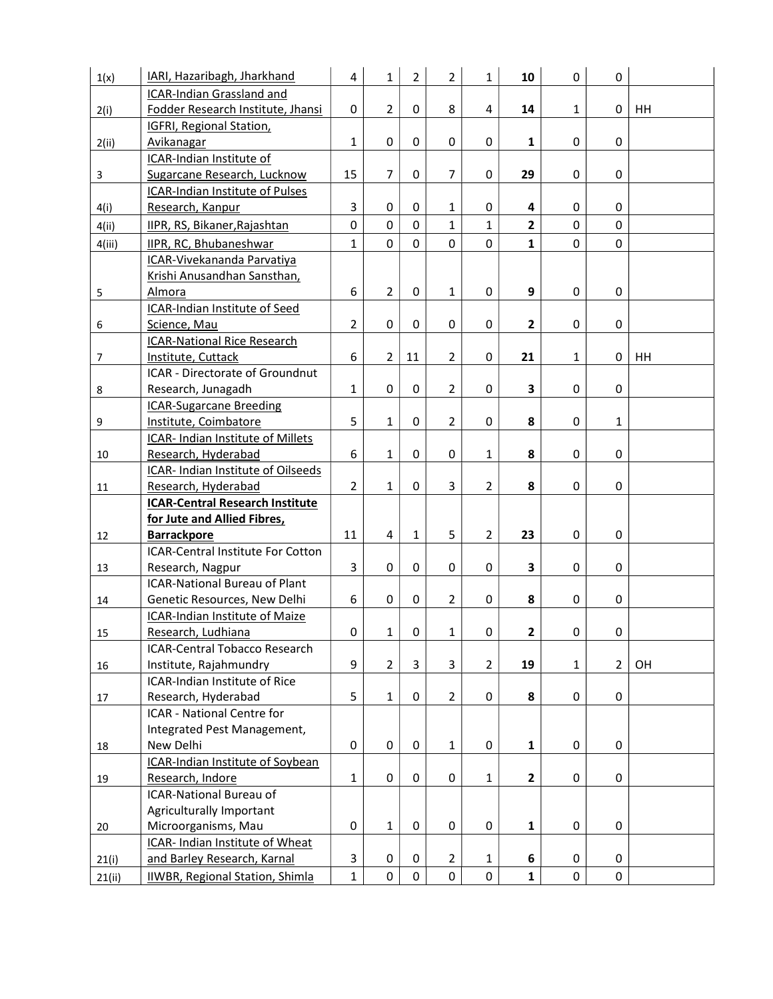| 1(x)   | IARI, Hazaribagh, Jharkhand              | 4              | $\mathbf{1}$   | $\overline{2}$      | $\overline{2}$      | $\mathbf{1}$   | 10                      | 0              | 0              |    |
|--------|------------------------------------------|----------------|----------------|---------------------|---------------------|----------------|-------------------------|----------------|----------------|----|
|        | ICAR-Indian Grassland and                |                |                |                     |                     |                |                         |                |                |    |
| 2(i)   | Fodder Research Institute, Jhansi        | 0              | $\overline{2}$ | $\Omega$            | 8                   | 4              | 14                      | 1              | 0              | HH |
|        | <b>IGFRI, Regional Station,</b>          |                |                |                     |                     |                |                         |                |                |    |
| 2(ii)  | Avikanagar                               | $\mathbf{1}$   | 0              | $\Omega$            | 0                   | $\Omega$       | 1                       | $\mathbf 0$    | 0              |    |
|        | ICAR-Indian Institute of                 |                |                |                     |                     |                |                         |                |                |    |
| 3      | Sugarcane Research, Lucknow              | 15             | 7              | 0                   | $\overline{7}$      | 0              | 29                      | 0              | 0              |    |
|        | ICAR-Indian Institute of Pulses          |                |                |                     |                     |                |                         |                |                |    |
| 4(i)   | Research, Kanpur                         | 3              | 0              | 0                   | $\mathbf{1}$        | 0              | 4                       | 0              | 0              |    |
| 4(ii)  | IIPR, RS, Bikaner, Rajashtan             | 0              | 0              | $\Omega$            | $\mathbf{1}$        | $\mathbf{1}$   | $\overline{2}$          | $\overline{0}$ | 0              |    |
| 4(iii) | IIPR, RC, Bhubaneshwar                   | $\mathbf{1}$   | 0              | 0                   | $\mathbf 0$         | 0              | 1                       | 0              | $\mathsf{O}$   |    |
|        | ICAR-Vivekananda Parvatiya               |                |                |                     |                     |                |                         |                |                |    |
|        | Krishi Anusandhan Sansthan,              |                |                |                     |                     |                |                         |                |                |    |
| 5      | Almora                                   | 6              | $\overline{2}$ | 0                   | $\mathbf{1}$        | 0              | 9                       | 0              | 0              |    |
|        | ICAR-Indian Institute of Seed            |                |                |                     |                     |                |                         |                |                |    |
| 6      | Science, Mau                             | $\overline{2}$ | 0              | 0                   | 0                   | 0              | $\overline{\mathbf{2}}$ | 0              | 0              |    |
|        | <b>ICAR-National Rice Research</b>       |                |                |                     |                     |                |                         |                |                |    |
| 7      | Institute, Cuttack                       | 6              | $\overline{2}$ | 11                  | $\overline{2}$      | 0              | 21                      | $\mathbf{1}$   | 0              | HH |
|        | ICAR - Directorate of Groundnut          |                |                |                     |                     |                |                         |                |                |    |
| 8      | Research, Junagadh                       | $\mathbf{1}$   | 0              | $\Omega$            | $\overline{2}$      | 0              | 3                       | 0              | 0              |    |
|        | <b>ICAR-Sugarcane Breeding</b>           |                |                |                     |                     |                |                         |                |                |    |
| 9      | Institute, Coimbatore                    | 5              | $\mathbf{1}$   | $\Omega$            | $\overline{2}$      | 0              | 8                       | 0              | 1              |    |
|        | <b>ICAR- Indian Institute of Millets</b> |                |                |                     |                     |                |                         |                |                |    |
| 10     | Research, Hyderabad                      | 6              | $\mathbf{1}$   | $\Omega$            | $\Omega$            | $\mathbf{1}$   | 8                       | 0              | 0              |    |
|        | ICAR- Indian Institute of Oilseeds       |                |                |                     |                     |                |                         |                |                |    |
| 11     | Research, Hyderabad                      | $\overline{2}$ | 1              | $\Omega$            | 3                   | $\overline{2}$ | 8                       | 0              | 0              |    |
|        | <b>ICAR-Central Research Institute</b>   |                |                |                     |                     |                |                         |                |                |    |
|        | for Jute and Allied Fibres,              |                |                |                     |                     |                |                         |                |                |    |
| 12     | <b>Barrackpore</b>                       | 11             | $\overline{4}$ | $\mathbf{1}$        | 5                   | $\overline{2}$ | 23                      | 0              | 0              |    |
|        | <b>ICAR-Central Institute For Cotton</b> |                |                |                     |                     |                |                         |                |                |    |
| 13     | Research, Nagpur                         | 3              | $\Omega$       | $\Omega$            | 0                   | $\Omega$       | 3                       | 0              | 0              |    |
|        | <b>ICAR-National Bureau of Plant</b>     |                |                |                     |                     |                |                         |                |                |    |
| 14     | Genetic Resources, New Delhi             | 6              | $\Omega$       | 0                   | $\overline{2}$      | 0              | 8                       | 0              | 0              |    |
|        | <b>ICAR-Indian Institute of Maize</b>    |                |                |                     |                     |                |                         |                |                |    |
| 15     | Research, Ludhiana                       | $\mathbf 0$    | $\mathbf{1}$   | $\mathsf{O}\xspace$ | $\mathbf{1}$        | $\mathbf 0$    | $\mathbf{2}$            | $\pmb{0}$      | $\pmb{0}$      |    |
|        | <b>ICAR-Central Tobacco Research</b>     |                |                |                     |                     |                |                         |                |                |    |
| 16     | Institute, Rajahmundry                   | 9              | $\overline{2}$ | 3                   | 3                   | $\overline{2}$ | 19                      | 1              | $\overline{2}$ | OH |
|        | ICAR-Indian Institute of Rice            |                |                |                     |                     |                |                         |                |                |    |
| 17     | Research, Hyderabad                      | 5              | $\mathbf{1}$   | 0                   | $\overline{2}$      | 0              | 8                       | 0              | 0              |    |
|        | ICAR - National Centre for               |                |                |                     |                     |                |                         |                |                |    |
|        | Integrated Pest Management,              |                |                |                     |                     |                |                         |                |                |    |
| 18     | New Delhi                                | $\mathbf 0$    | 0              | 0                   | $\mathbf{1}$        | 0              | $\mathbf{1}$            | 0              | 0              |    |
|        | ICAR-Indian Institute of Soybean         |                |                |                     |                     |                |                         |                |                |    |
| 19     | Research, Indore                         | $\mathbf{1}$   | 0              | $\mathbf 0$         | $\mathbf 0$         | 1              | $\overline{2}$          | $\pmb{0}$      | 0              |    |
|        | <b>ICAR-National Bureau of</b>           |                |                |                     |                     |                |                         |                |                |    |
|        | Agriculturally Important                 |                |                |                     |                     |                |                         |                |                |    |
| 20     | Microorganisms, Mau                      | $\pmb{0}$      | $\mathbf{1}$   | 0                   | $\mathsf{O}\xspace$ | 0              | 1                       | $\pmb{0}$      | 0              |    |
|        | ICAR- Indian Institute of Wheat          |                |                |                     |                     |                |                         |                |                |    |
| 21(i)  | and Barley Research, Karnal              | 3              | 0              | 0                   | $\overline{2}$      | $\mathbf{1}$   | 6                       | 0              | 0              |    |
| 21(ii) | IIWBR, Regional Station, Shimla          | $\mathbf 1$    | 0              | 0                   | $\mathbf 0$         | $\mathbf 0$    | $\mathbf{1}$            | $\pmb{0}$      | $\mathbf 0$    |    |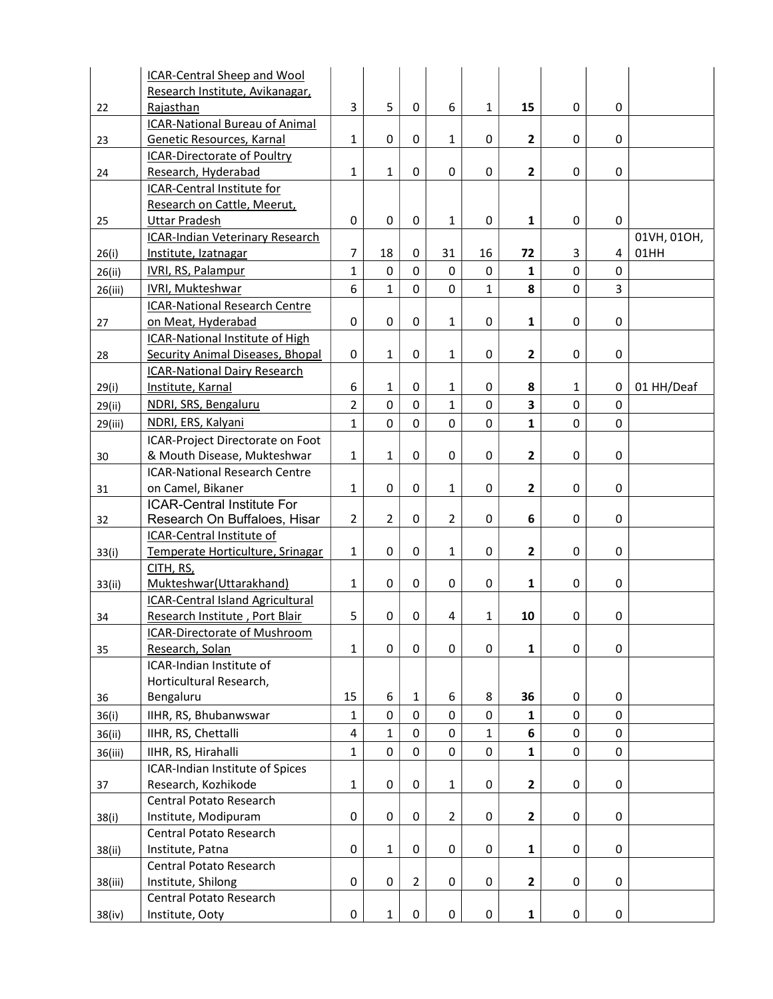|         | <b>ICAR-Central Sheep and Wool</b>                              |                |                |                |                         |              |                         |             |             |             |
|---------|-----------------------------------------------------------------|----------------|----------------|----------------|-------------------------|--------------|-------------------------|-------------|-------------|-------------|
|         | Research Institute, Avikanagar,                                 |                |                |                |                         |              |                         |             |             |             |
| 22      | Rajasthan                                                       | 3              | 5              | $\Omega$       | 6                       | $\mathbf{1}$ | 15                      | 0           | 0           |             |
|         | <b>ICAR-National Bureau of Animal</b>                           |                |                |                |                         |              |                         |             |             |             |
| 23      | Genetic Resources, Karnal                                       | $\mathbf{1}$   | 0              | $\Omega$       | $\mathbf{1}$            | 0            | 2                       | 0           | 0           |             |
|         | <b>ICAR-Directorate of Poultry</b>                              |                |                |                |                         |              |                         |             |             |             |
| 24      | Research, Hyderabad                                             | $\mathbf{1}$   | $\mathbf{1}$   | 0              | 0                       | 0            | $\mathbf{2}$            | 0           | 0           |             |
|         | ICAR-Central Institute for                                      |                |                |                |                         |              |                         |             |             |             |
|         | Research on Cattle, Meerut,                                     |                |                |                |                         |              |                         |             |             |             |
| 25      | <b>Uttar Pradesh</b>                                            | 0              | 0              | 0              | $\mathbf{1}$            | 0            | 1                       | 0           | 0           |             |
|         | ICAR-Indian Veterinary Research                                 |                |                |                |                         |              |                         |             |             | 01VH, 01OH, |
| 26(i)   | Institute, Izatnagar                                            | $\overline{7}$ | 18             | 0              | 31                      | 16           | 72                      | 3           | 4           | 01HH        |
| 26(ii)  | IVRI, RS, Palampur                                              | $\mathbf 1$    | $\mathbf 0$    | 0              | 0                       | 0            | $\mathbf{1}$            | $\mathbf 0$ | 0           |             |
| 26(iii) | IVRI, Mukteshwar                                                | 6              | $\mathbf{1}$   | $\Omega$       | $\mathbf 0$             | 1            | 8                       | $\mathbf 0$ | 3           |             |
|         | <b>ICAR-National Research Centre</b>                            |                |                |                |                         |              |                         |             |             |             |
| 27      | on Meat, Hyderabad                                              | $\mathbf 0$    | 0              | 0              | $\mathbf{1}$            | 0            | 1                       | 0           | 0           |             |
|         | ICAR-National Institute of High                                 |                |                |                |                         |              |                         |             |             |             |
| 28      | <b>Security Animal Diseases, Bhopal</b>                         | $\mathbf 0$    | $\mathbf{1}$   | 0              | $\mathbf{1}$            | 0            | $\mathbf{2}$            | 0           | 0           |             |
|         | <b>ICAR-National Dairy Research</b>                             |                |                |                |                         |              |                         |             |             |             |
| 29(i)   | Institute, Karnal                                               | 6              | 1              | 0              | $\mathbf{1}$            | 0            | 8                       | 1           | 0           | 01 HH/Deaf  |
| 29(ii)  | NDRI, SRS, Bengaluru                                            | $\overline{2}$ | $\mathbf 0$    | 0              | $\mathbf{1}$            | 0            | 3                       | $\mathbf 0$ | $\mathbf 0$ |             |
|         | NDRI, ERS, Kalyani                                              | $\mathbf{1}$   | $\mathbf 0$    | 0              | $\overline{0}$          | 0            | $\mathbf{1}$            | $\mathbf 0$ | 0           |             |
| 29(iii) |                                                                 |                |                |                |                         |              |                         |             |             |             |
|         | ICAR-Project Directorate on Foot<br>& Mouth Disease, Mukteshwar | $\mathbf{1}$   | $\mathbf{1}$   | 0              | 0                       | 0            | $\overline{\mathbf{c}}$ | 0           | 0           |             |
| 30      | <b>ICAR-National Research Centre</b>                            |                |                |                |                         |              |                         |             |             |             |
|         | on Camel, Bikaner                                               | $\mathbf{1}$   | 0              | 0              | $\mathbf{1}$            | 0            | $\mathbf{2}$            | 0           | 0           |             |
| 31      | <b>ICAR-Central Institute For</b>                               |                |                |                |                         |              |                         |             |             |             |
| 32      | Research On Buffaloes, Hisar                                    | $\overline{2}$ | $\overline{2}$ | 0              | $\overline{2}$          | 0            | 6                       | 0           | 0           |             |
|         | ICAR-Central Institute of                                       |                |                |                |                         |              |                         |             |             |             |
| 33(i)   | Temperate Horticulture, Srinagar                                | $\mathbf{1}$   | $\mathbf 0$    | $\mathbf 0$    | $\mathbf{1}$            | 0            | $\mathbf{2}$            | $\mathbf 0$ | 0           |             |
|         | CITH, RS,                                                       |                |                |                |                         |              |                         |             |             |             |
| 33(ii)  | Mukteshwar(Uttarakhand)                                         | $\mathbf{1}$   | 0              | 0              | 0                       | 0            | 1                       | 0           | 0           |             |
|         | ICAR-Central Island Agricultural                                |                |                |                |                         |              |                         |             |             |             |
| 34      | Research Institute, Port Blair                                  | 5              | $\pmb{0}$      | 0              | $\overline{\mathbf{4}}$ | 1            | 10                      | 0           | 0           |             |
|         | <b>ICAR-Directorate of Mushroom</b>                             |                |                |                |                         |              |                         |             |             |             |
| 35      | Research, Solan                                                 | $\mathbf{1}$   | 0              | $\Omega$       | $\Omega$                | 0            | $\mathbf{1}$            | 0           | 0           |             |
|         | ICAR-Indian Institute of                                        |                |                |                |                         |              |                         |             |             |             |
|         | Horticultural Research,                                         |                |                |                |                         |              |                         |             |             |             |
| 36      | Bengaluru                                                       | 15             | 6              | $\mathbf{1}$   | 6                       | 8            | 36                      | 0           | 0           |             |
| 36(i)   | IIHR, RS, Bhubanwswar                                           | $\mathbf{1}$   | $\mathbf 0$    | 0              | 0                       | 0            | $\mathbf{1}$            | $\mathbf 0$ | 0           |             |
|         |                                                                 |                |                |                |                         |              |                         |             |             |             |
| 36(ii)  | IIHR, RS, Chettalli                                             | $\overline{4}$ | $\mathbf 1$    | 0              | 0                       | 1            | 6                       | $\mathbf 0$ | 0           |             |
| 36(iii) | IIHR, RS, Hirahalli                                             | $\mathbf{1}$   | $\mathbf 0$    | 0              | 0                       | 0            | $\mathbf{1}$            | $\pmb{0}$   | 0           |             |
|         | ICAR-Indian Institute of Spices                                 |                |                |                |                         |              |                         |             |             |             |
| 37      | Research, Kozhikode                                             | $\mathbf{1}$   | 0              | 0              | $\mathbf{1}$            | 0            | $\overline{2}$          | 0           | 0           |             |
|         | Central Potato Research                                         |                |                |                |                         |              |                         |             |             |             |
| 38(i)   | Institute, Modipuram                                            | 0              | 0              | 0              | $\overline{2}$          | 0            | $\mathbf{2}$            | $\pmb{0}$   | 0           |             |
|         | Central Potato Research                                         |                |                |                |                         |              |                         |             |             |             |
| 38(ii)  | Institute, Patna                                                | 0              | $\mathbf{1}$   | 0              | 0                       | 0            | $\mathbf{1}$            | 0           | 0           |             |
|         | Central Potato Research                                         |                |                |                |                         |              |                         |             |             |             |
| 38(iii) | Institute, Shilong                                              | $\mathbf 0$    | 0              | $\overline{2}$ | 0                       | 0            | $\mathbf{2}$            | 0           | 0           |             |
|         | Central Potato Research                                         |                |                |                |                         |              |                         |             |             |             |
| 38(iv)  | Institute, Ooty                                                 | 0              | $\mathbf{1}$   | $\pmb{0}$      | 0                       | 0            | $\mathbf{1}$            | 0           | 0           |             |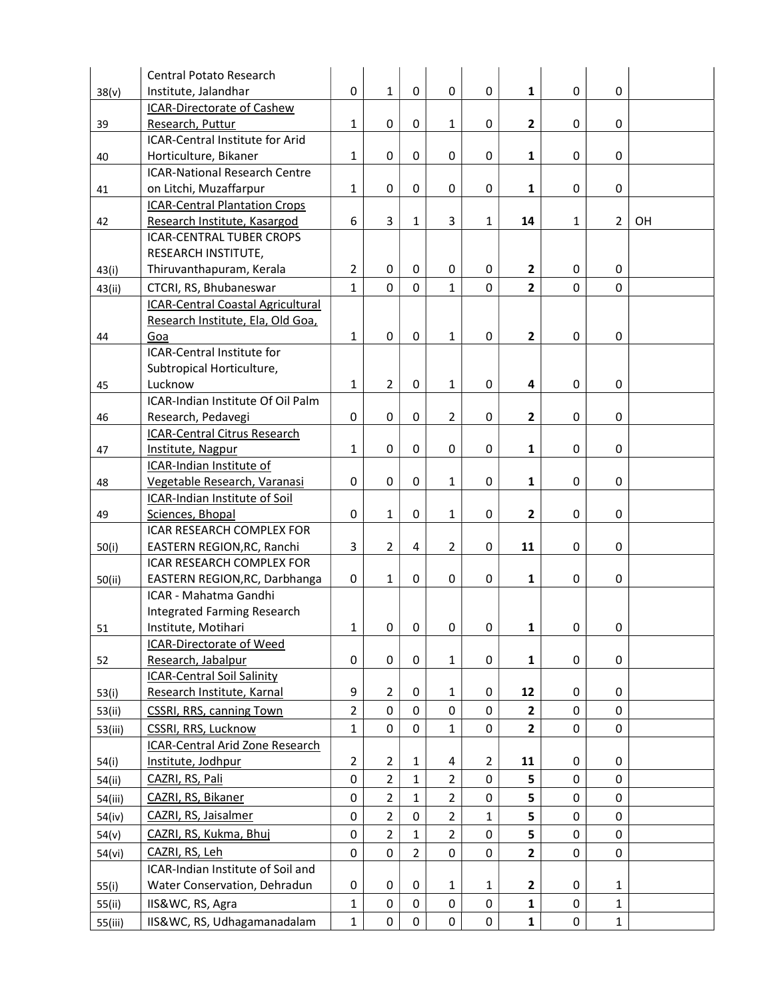|         | <b>Central Potato Research</b>                       |                |                |                |                |                |                |              |                |    |
|---------|------------------------------------------------------|----------------|----------------|----------------|----------------|----------------|----------------|--------------|----------------|----|
| 38(v)   | Institute, Jalandhar                                 | 0              | $\mathbf 1$    | 0              | 0              | 0              | 1              | 0            | 0              |    |
|         | <b>ICAR-Directorate of Cashew</b>                    |                |                |                |                |                |                |              |                |    |
| 39      | Research, Puttur                                     | $\mathbf{1}$   | $\mathbf 0$    | 0              | $\mathbf{1}$   | $\Omega$       | $\mathbf{2}$   | 0            | 0              |    |
|         | ICAR-Central Institute for Arid                      |                |                |                |                |                |                |              |                |    |
| 40      | Horticulture, Bikaner                                | $\mathbf{1}$   | $\mathbf 0$    | 0              | 0              | $\Omega$       | $\mathbf{1}$   | 0            | 0              |    |
|         | <b>ICAR-National Research Centre</b>                 |                |                |                |                |                |                |              |                |    |
| 41      | on Litchi, Muzaffarpur                               | $\mathbf{1}$   | $\pmb{0}$      | 0              | 0              | 0              | 1              | 0            | 0              |    |
|         | <b>ICAR-Central Plantation Crops</b>                 |                |                |                |                |                |                |              |                |    |
| 42      | Research Institute, Kasargod                         | 6              | 3              | $\mathbf{1}$   | 3              | $\mathbf{1}$   | 14             | $\mathbf{1}$ | $\overline{2}$ | OH |
|         | <b>ICAR-CENTRAL TUBER CROPS</b>                      |                |                |                |                |                |                |              |                |    |
|         | RESEARCH INSTITUTE,                                  |                |                |                |                |                |                |              |                |    |
| 43(i)   | Thiruvanthapuram, Kerala                             | $\overline{2}$ | $\mathbf 0$    | 0              | 0              | $\mathbf 0$    | $\mathbf{2}$   | 0            | 0              |    |
| 43(ii)  | CTCRI, RS, Bhubaneswar                               | $\mathbf{1}$   | $\overline{0}$ | 0              | $\mathbf{1}$   | 0              | $\overline{2}$ | $\mathbf 0$  | $\overline{0}$ |    |
|         | <b>ICAR-Central Coastal Agricultural</b>             |                |                |                |                |                |                |              |                |    |
|         | Research Institute, Ela, Old Goa,                    |                |                |                |                |                |                |              |                |    |
| 44      | Goa                                                  | $\mathbf{1}$   | 0              | 0              | $\mathbf{1}$   | 0              | $\mathbf{2}$   | 0            | 0              |    |
|         | ICAR-Central Institute for                           |                |                |                |                |                |                |              |                |    |
|         | Subtropical Horticulture,                            |                |                |                |                |                |                |              |                |    |
| 45      | Lucknow                                              | $\mathbf{1}$   | $\overline{2}$ | 0              | $\mathbf{1}$   | 0              | 4              | 0            | 0              |    |
|         | ICAR-Indian Institute Of Oil Palm                    |                |                |                | $\overline{2}$ |                |                |              |                |    |
| 46      | Research, Pedavegi                                   | $\mathbf 0$    | 0              | 0              |                | 0              | 2              | 0            | 0              |    |
|         | <b>ICAR-Central Citrus Research</b>                  | $\mathbf{1}$   | 0              | 0              | 0              | 0              | $\mathbf{1}$   | 0            | 0              |    |
| 47      | Institute, Nagpur<br><b>ICAR-Indian Institute of</b> |                |                |                |                |                |                |              |                |    |
| 48      | Vegetable Research, Varanasi                         | $\mathbf 0$    | 0              | 0              | $\mathbf{1}$   | $\mathbf 0$    | $\mathbf{1}$   | 0            | 0              |    |
|         | ICAR-Indian Institute of Soil                        |                |                |                |                |                |                |              |                |    |
| 49      | Sciences, Bhopal                                     | 0              | 1              | 0              | $\mathbf{1}$   | 0              | $\mathbf{2}$   | 0            | 0              |    |
|         | <b>ICAR RESEARCH COMPLEX FOR</b>                     |                |                |                |                |                |                |              |                |    |
| 50(i)   | EASTERN REGION, RC, Ranchi                           | 3              | $\overline{2}$ | 4              | $\overline{2}$ | 0              | 11             | $\pmb{0}$    | 0              |    |
|         | <b>ICAR RESEARCH COMPLEX FOR</b>                     |                |                |                |                |                |                |              |                |    |
| 50(ii)  | EASTERN REGION, RC, Darbhanga                        | $\mathbf 0$    | $\mathbf{1}$   | 0              | 0              | 0              | $\mathbf{1}$   | 0            | 0              |    |
|         | ICAR - Mahatma Gandhi                                |                |                |                |                |                |                |              |                |    |
|         | <b>Integrated Farming Research</b>                   |                |                |                |                |                |                |              |                |    |
| 51      | Institute, Motihari                                  | 1              | 0              | 0              | 0              | 0              | 1              | 0            | 0              |    |
|         | <b>ICAR-Directorate of Weed</b>                      |                |                |                |                |                |                |              |                |    |
| 52      | Research, Jabalpur                                   | 0              | 0              | 0              | $\mathbf{1}$   | 0              | $\mathbf{1}$   | 0            | 0              |    |
|         | <b>ICAR-Central Soil Salinity</b>                    |                |                |                |                |                |                |              |                |    |
| 53(i)   | Research Institute, Karnal                           | 9              | $\overline{2}$ | 0              | $\mathbf{1}$   | 0              | 12             | 0            | 0              |    |
| 53(ii)  | <b>CSSRI, RRS, canning Town</b>                      | $\overline{2}$ | $\mathbf 0$    | 0              | $\mathbf 0$    | 0              | $\mathbf{2}$   | $\pmb{0}$    | 0              |    |
| 53(iii) | CSSRI, RRS, Lucknow                                  | 1              | $\mathbf 0$    | 0              | $\mathbf{1}$   | 0              | $\overline{2}$ | $\mathbf 0$  | 0              |    |
|         | ICAR-Central Arid Zone Research                      |                |                |                |                |                |                |              |                |    |
| 54(i)   | Institute, Jodhpur                                   | $\overline{2}$ | $\overline{2}$ | $\mathbf{1}$   | 4              | $\overline{2}$ | 11             | 0            | 0              |    |
| 54(ii)  | CAZRI, RS, Pali                                      | $\mathbf 0$    | 2              | $\mathbf{1}$   | $\overline{2}$ | $\Omega$       | 5              | 0            | 0              |    |
| 54(iii) | CAZRI, RS, Bikaner                                   | $\mathbf 0$    | $\overline{2}$ | $\mathbf{1}$   | $\overline{2}$ | 0              | 5              | $\mathbf 0$  | 0              |    |
| 54(iv)  | CAZRI, RS, Jaisalmer                                 | $\mathbf 0$    | $\overline{2}$ | 0              | $\overline{2}$ | 1              | 5              | $\pmb{0}$    | 0              |    |
| 54(v)   | CAZRI, RS, Kukma, Bhuj                               | $\pmb{0}$      | $\overline{2}$ | $\mathbf{1}$   | $\overline{2}$ | 0              | 5              | $\pmb{0}$    | 0              |    |
| 54(vi)  | CAZRI, RS, Leh                                       | $\mathbf 0$    | $\mathbf 0$    | $\overline{2}$ | 0              | 0              | $\overline{2}$ | $\mathbf 0$  | 0              |    |
|         | ICAR-Indian Institute of Soil and                    |                |                |                |                |                |                |              |                |    |
| 55(i)   | Water Conservation, Dehradun                         | 0              | 0              | 0              | $\mathbf{1}$   | 1              | 2              | 0            | 1              |    |
| 55(ii)  | IIS&WC, RS, Agra                                     | $\mathbf{1}$   | $\pmb{0}$      | $\mathbf 0$    | 0              | 0              | $\mathbf{1}$   | $\pmb{0}$    | $\mathbf{1}$   |    |
| 55(iii) | IIS&WC, RS, Udhagamanadalam                          | $\mathbf{1}$   | $\pmb{0}$      | 0              | $\mathbf 0$    | 0              | $\mathbf{1}$   | $\pmb{0}$    | $\mathbf{1}$   |    |
|         |                                                      |                |                |                |                |                |                |              |                |    |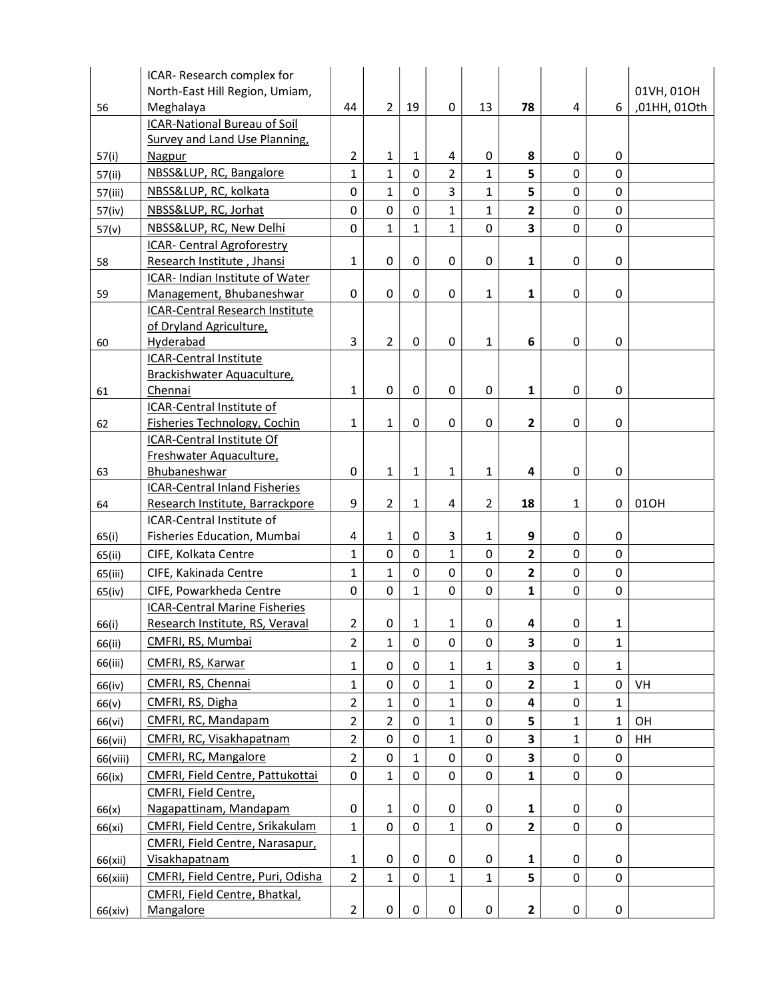|          | ICAR- Research complex for                                              |                |                |                |                |                |                         |              |              |              |
|----------|-------------------------------------------------------------------------|----------------|----------------|----------------|----------------|----------------|-------------------------|--------------|--------------|--------------|
|          | North-East Hill Region, Umiam,                                          |                |                |                |                |                |                         |              |              | 01VH, 01OH   |
| 56       | Meghalaya                                                               | 44             | $\overline{2}$ | 19             | 0              | 13             | 78                      | 4            | 6            | ,01HH, 01Oth |
|          | <b>ICAR-National Bureau of Soil</b>                                     |                |                |                |                |                |                         |              |              |              |
|          | Survey and Land Use Planning,                                           |                |                |                |                |                |                         |              |              |              |
| 57(i)    | <b>Nagpur</b>                                                           | $\overline{2}$ | $\mathbf{1}$   | 1              | 4              | 0              | 8                       | 0            | 0            |              |
| 57(ii)   | NBSS&LUP, RC, Bangalore                                                 | 1              | $\mathbf 1$    | $\mathbf 0$    | $\overline{2}$ | $\mathbf{1}$   | 5                       | 0            | 0            |              |
| 57(iii)  | NBSS&LUP, RC, kolkata                                                   | 0              | 1              | $\mathbf 0$    | $\overline{3}$ | $\mathbf{1}$   | 5                       | 0            | 0            |              |
| 57(iv)   | NBSS&LUP, RC, Jorhat                                                    | 0              | 0              | $\overline{0}$ | $\mathbf{1}$   | $\mathbf 1$    | $\overline{2}$          | 0            | 0            |              |
| 57(v)    | NBSS&LUP, RC, New Delhi                                                 | 0              | $\mathbf{1}$   | $\mathbf{1}$   | $\mathbf{1}$   | 0              | $\overline{\mathbf{3}}$ | 0            | 0            |              |
|          | ICAR- Central Agroforestry                                              |                |                |                |                |                |                         |              |              |              |
| 58       | Research Institute, Jhansi                                              | $\mathbf{1}$   | 0              | 0              | 0              | 0              | $\mathbf 1$             | 0            | 0            |              |
|          | ICAR- Indian Institute of Water                                         |                |                |                |                |                |                         |              |              |              |
| 59       | Management, Bhubaneshwar                                                | $\mathbf 0$    | 0              | $\mathbf 0$    | 0              | $\mathbf{1}$   | $\mathbf{1}$            | 0            | 0            |              |
|          | ICAR-Central Research Institute                                         |                |                |                |                |                |                         |              |              |              |
|          | of Dryland Agriculture,                                                 |                |                |                |                |                |                         |              |              |              |
| 60       | Hyderabad                                                               | 3              | $\overline{2}$ | $\Omega$       | 0              | $\mathbf{1}$   | 6                       | 0            | 0            |              |
|          | <b>ICAR-Central Institute</b>                                           |                |                |                |                |                |                         |              |              |              |
|          | Brackishwater Aquaculture,                                              |                |                |                |                |                |                         |              |              |              |
| 61       | Chennai                                                                 | 1              | 0              | $\Omega$       | 0              | $\pmb{0}$      | $\mathbf{1}$            | 0            | 0            |              |
|          | ICAR-Central Institute of                                               |                |                |                |                |                |                         |              |              |              |
| 62       | <b>Fisheries Technology, Cochin</b>                                     | 1              | 1              | 0              | 0              | 0              | $\overline{\mathbf{c}}$ | 0            | 0            |              |
|          | ICAR-Central Institute Of                                               |                |                |                |                |                |                         |              |              |              |
|          | Freshwater Aquaculture,                                                 |                |                |                |                |                |                         |              |              |              |
| 63       | Bhubaneshwar                                                            | 0              | $\mathbf{1}$   | $\mathbf{1}$   | $\mathbf{1}$   | $\mathbf{1}$   | 4                       | 0            | 0            |              |
|          | <b>ICAR-Central Inland Fisheries</b><br>Research Institute, Barrackpore | 9              | $\overline{2}$ | $\mathbf{1}$   | $\overline{4}$ | $\overline{2}$ | 18                      | $\mathbf{1}$ | 0            | 01OH         |
| 64       | ICAR-Central Institute of                                               |                |                |                |                |                |                         |              |              |              |
| 65(i)    | Fisheries Education, Mumbai                                             | 4              | 1              | 0              | 3              | $\mathbf{1}$   | 9                       | 0            | 0            |              |
|          | CIFE, Kolkata Centre                                                    | $\mathbf{1}$   | 0              | $\mathsf 0$    | $\mathbf{1}$   | 0              | $\overline{\mathbf{2}}$ | 0            | 0            |              |
| 65(ii)   |                                                                         | $\mathbf{1}$   | $\mathbf{1}$   | $\overline{0}$ | 0              | 0              | $\overline{2}$          | 0            | 0            |              |
| 65(iii)  | CIFE, Kakinada Centre                                                   |                |                |                |                |                |                         |              |              |              |
| 65(iv)   | CIFE, Powarkheda Centre                                                 | 0              | 0              | $\mathbf{1}$   | 0              | 0              | $\mathbf{1}$            | 0            | 0            |              |
|          | <b>ICAR-Central Marine Fisheries</b>                                    | $\overline{2}$ | 0              |                | $\mathbf{1}$   |                | 4                       | 0            |              |              |
| 66(i)    | Research Institute, RS, Veraval                                         |                |                | 1              |                | 0              |                         |              | $\mathbf{1}$ |              |
| 66(ii)   | CMFRI, RS, Mumbai                                                       | 2              | 1              | 0              | 0              | 0              | 3                       | 0            | $\mathbf{1}$ |              |
| 66(iii)  | CMFRI, RS, Karwar                                                       | 1              | 0              | 0              | $\mathbf{1}$   | $\mathbf{1}$   | 3                       | 0            | $\mathbf{1}$ |              |
| 66(iv)   | CMFRI, RS, Chennai                                                      | $\mathbf{1}$   | 0              | 0              | $\mathbf{1}$   | 0              | $\overline{\mathbf{2}}$ | 1            | 0            | VH           |
| 66(v)    | CMFRI, RS, Digha                                                        | $\overline{2}$ | $\mathbf{1}$   | $\mathbf 0$    | $\mathbf{1}$   | 0              | $\overline{\mathbf{4}}$ | 0            | $\mathbf{1}$ |              |
| 66(vi)   | CMFRI, RC, Mandapam                                                     | $\overline{2}$ | $\overline{2}$ | 0              | $\mathbf{1}$   | 0              | 5                       | 1            | $\mathbf{1}$ | OH           |
| 66(vii)  | CMFRI, RC, Visakhapatnam                                                | $\overline{2}$ | 0              | $\mathbf 0$    | $\mathbf{1}$   | 0              | 3                       | $\mathbf{1}$ | $\mathbf 0$  | HH           |
| 66(viii) | CMFRI, RC, Mangalore                                                    | $\overline{2}$ | 0              | $\mathbf{1}$   | 0              | 0              | 3                       | 0            | 0            |              |
|          | CMFRI, Field Centre, Pattukottai                                        | 0              | $\mathbf{1}$   | 0              | 0              | 0              | $\mathbf{1}$            | 0            | 0            |              |
| 66(ix)   |                                                                         |                |                |                |                |                |                         |              |              |              |
|          |                                                                         |                |                |                |                |                |                         |              |              |              |
|          | CMFRI, Field Centre,                                                    |                |                |                |                |                |                         |              |              |              |
| 66(x)    | Nagapattinam, Mandapam                                                  | 0              | 1              | 0              | 0              | 0              | $\mathbf{1}$            | 0            | 0            |              |
| 66(xi)   | CMFRI, Field Centre, Srikakulam                                         | $\mathbf{1}$   | 0              | 0              | $\mathbf{1}$   | 0              | $\overline{\mathbf{2}}$ | 0            | 0            |              |
|          | CMFRI, Field Centre, Narasapur,                                         |                |                |                |                |                |                         |              |              |              |
| 66(xii)  | <b>Visakhapatnam</b>                                                    | 1              | 0              | 0              | 0              | 0              | $\mathbf{1}$            | 0            | 0            |              |
| 66(xiii) | CMFRI, Field Centre, Puri, Odisha                                       | $\overline{2}$ | $\mathbf{1}$   | $\mathbf 0$    | $\mathbf{1}$   | $\mathbf{1}$   | 5                       | 0            | 0            |              |
| 66(xiv)  | CMFRI, Field Centre, Bhatkal,<br>Mangalore                              | $\overline{2}$ | 0              | 0              | 0              | 0              | $\mathbf{2}$            | 0            | 0            |              |